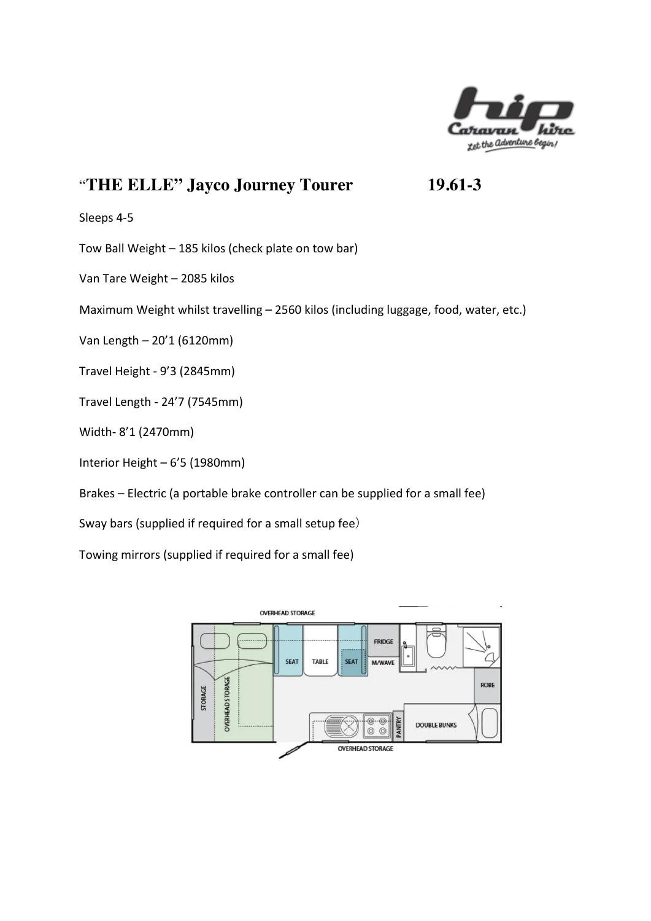

# "**THE ELLE" Jayco Journey Tourer 19.61-3**

Sleeps 4-5

Tow Ball Weight - 185 kilos (check plate on tow bar)

Van Tare Weight - 2085 kilos

Maximum Weight whilst travelling - 2560 kilos (including luggage, food, water, etc.)

Van Length – 20'1 (6120mm)

Travel Height - 9'3 (2845mm)

Travel Length - 24'7 (7545mm)

Width- 8'1 (2470mm)

Interior Height - 6'5 (1980mm)

Brakes – Electric (a portable brake controller can be supplied for a small fee)

Sway bars (supplied if required for a small setup fee)

Towing mirrors (supplied if required for a small fee)